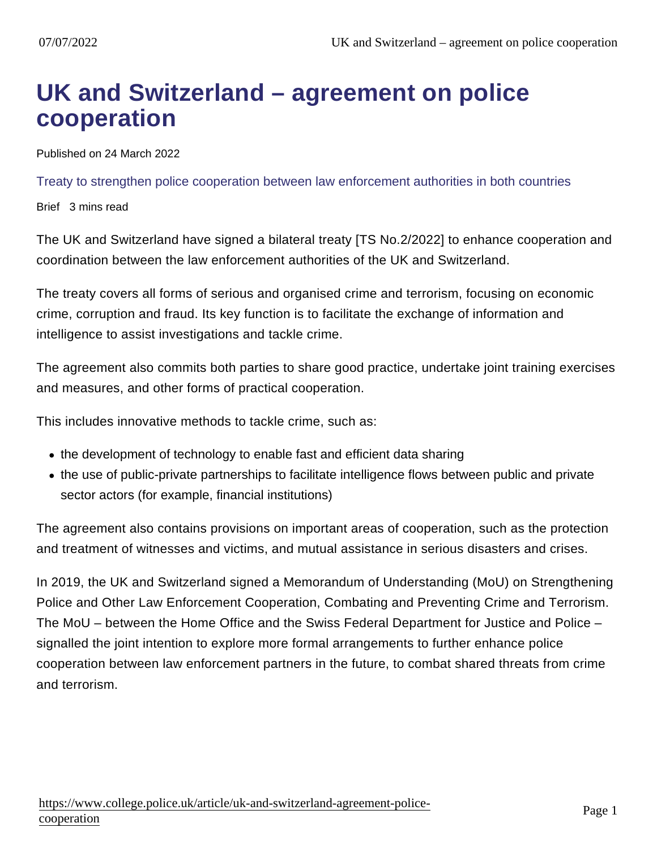## UK and Switzerland – agreement on police cooperation

Published on 24 March 2022

Treaty to strengthen police cooperation between law enforcement authorities in both countries

Brief 3 mins read

The UK and Switzerland have signed a bilateral treaty [TS No.2/2022] to enhance cooperation and coordination between the law enforcement authorities of the UK and Switzerland.

The treaty covers all forms of serious and organised crime and terrorism, focusing on economic crime, corruption and fraud. Its key function is to facilitate the exchange of information and intelligence to assist investigations and tackle crime.

The agreement also commits both parties to share good practice, undertake joint training exercises and measures, and other forms of practical cooperation.

This includes innovative methods to tackle crime, such as:

- the development of technology to enable fast and efficient data sharing
- the use of public-private partnerships to facilitate intelligence flows between public and private sector actors (for example, financial institutions)

The agreement also contains provisions on important areas of cooperation, such as the protection and treatment of witnesses and victims, and mutual assistance in serious disasters and crises.

In 2019, the UK and Switzerland signed a Memorandum of Understanding (MoU) on Strengthening Police and Other Law Enforcement Cooperation, Combating and Preventing Crime and Terrorism. The MoU – between the Home Office and the Swiss Federal Department for Justice and Police – signalled the joint intention to explore more formal arrangements to further enhance police cooperation between law enforcement partners in the future, to combat shared threats from crime and terrorism.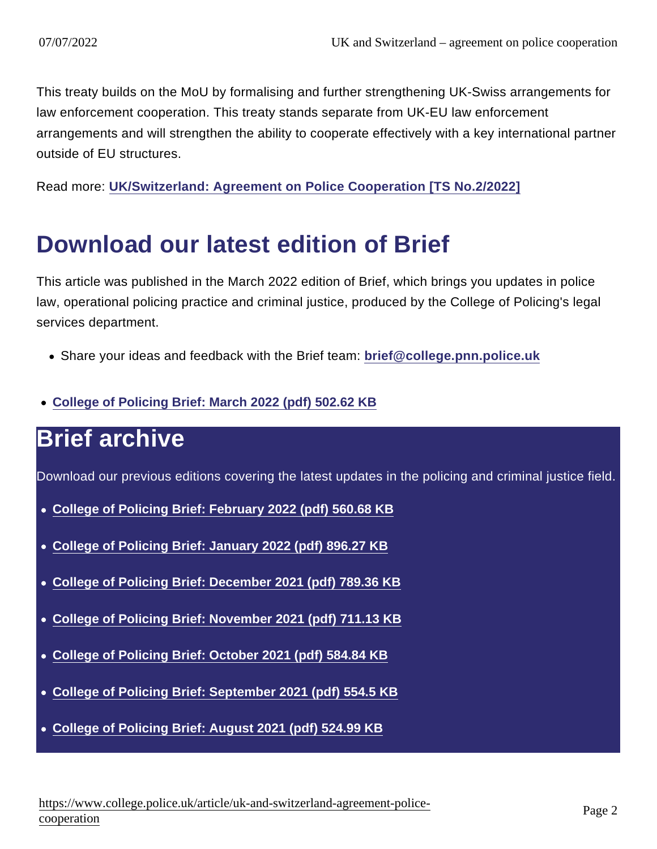This treaty builds on the MoU by formalising and further strengthening UK-Swiss arrangements for law enforcement cooperation. This treaty stands separate from UK-EU law enforcement arrangements and will strengthen the ability to cooperate effectively with a key international partner outside of EU structures.

Read more: [UK/Switzerland: Agreement on Police Cooperation \[TS No.2/2022\]](https://www.gov.uk/government/publications/ukswitzerland-agreement-on-police-cooperation-ts-no22022)

## Download our latest edition of Brief

This article was published in the March 2022 edition of Brief, which brings you updates in police law, operational policing practice and criminal justice, produced by the College of Policing's legal services department.

- Share your ideas and feedback with the Brief team: [brief@college.pnn.police.uk](mailto:brief@college.pnn.police.uk)
- [College of Policing Brief: March 2022 \(pdf\) 502.62 KB](https://assets.college.police.uk/s3fs-public/2022-03/College-of-Policing-Brief-March-2022.pdf)

## Brief archive

Download our previous editions covering the latest updates in the policing and criminal justice field.

- [College of Policing Brief: February 2022 \(pdf\) 560.68 KB](https://assets.college.police.uk/s3fs-public/2022-02/College-of-Policing-Brief-February-2022.pdf)
- [College of Policing Brief: January 2022 \(pdf\) 896.27 KB](https://assets.college.police.uk/s3fs-public/2022-01/College-of-Policing-Brief-January-2022.pdf)
- [College of Policing Brief: December 2021 \(pdf\) 789.36 KB](https://assets.college.police.uk/s3fs-public/2021-12/college-of-policing-brief-december-2021.pdf)
- [College of Policing Brief: November 2021 \(pdf\) 711.13 KB](https://assets.college.police.uk/s3fs-public/2021-11/College-of-Policing-Brief-November-2021.pdf)
- [College of Policing Brief: October 2021 \(pdf\) 584.84 KB](https://assets.college.police.uk/s3fs-public/2021-10/College-of-Policing-Brief-October-2021.pdf)
- [College of Policing Brief: September 2021 \(pdf\) 554.5 KB](https://assets.college.police.uk/s3fs-public/2021-09/college-of-policing-brief-september-2021.pdf)
- [College of Policing Brief: August 2021 \(pdf\) 524.99 KB](https://assets.college.police.uk/s3fs-public/2021-08/college-of-policing-brief-august-2021.pdf)